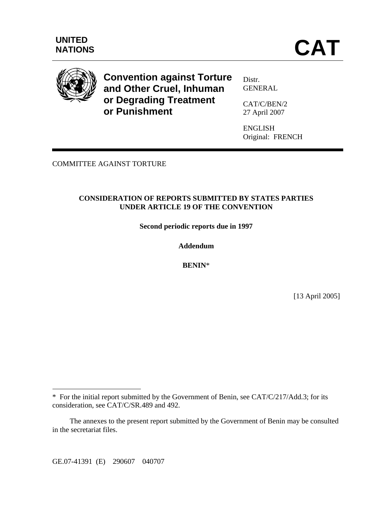

**Convention against Torture and Other Cruel, Inhuman or Degrading Treatment or Punishment** 

Distr. **GENERAL** 

CAT/C/BEN/2 27 April 2007

ENGLISH Original: FRENCH

COMMITTEE AGAINST TORTURE

#### **CONSIDERATION OF REPORTS SUBMITTED BY STATES PARTIES UNDER ARTICLE 19 OF THE CONVENTION**

**Second periodic reports due in 1997** 

**Addendum** 

**BENIN**\*

[13 April 2005]

GE.07-41391 (E) 290607 040707

 $\overline{a}$ 

<sup>\*</sup> For the initial report submitted by the Government of Benin, see CAT/C/217/Add.3; for its consideration, see CAT/C/SR.489 and 492.

The annexes to the present report submitted by the Government of Benin may be consulted in the secretariat files.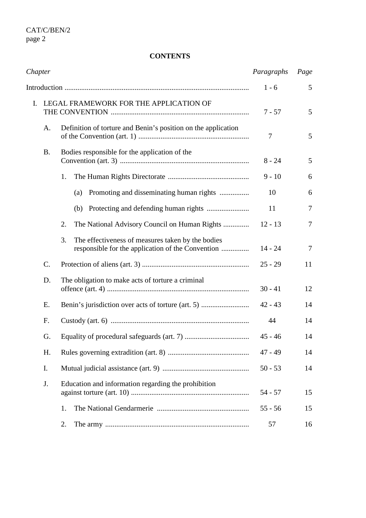# **CONTENTS**

| Chapter |           | Paragraphs                                                                                                   | Page      |                |
|---------|-----------|--------------------------------------------------------------------------------------------------------------|-----------|----------------|
|         |           | $1 - 6$                                                                                                      | 5         |                |
| I.      |           | LEGAL FRAMEWORK FOR THE APPLICATION OF                                                                       | $7 - 57$  | 5              |
|         | А.        | Definition of torture and Benin's position on the application                                                | 7         | 5              |
|         | <b>B.</b> | Bodies responsible for the application of the                                                                | $8 - 24$  | 5              |
|         |           | 1.                                                                                                           | $9 - 10$  | 6              |
|         |           | Promoting and disseminating human rights<br>(a)                                                              | 10        | 6              |
|         |           |                                                                                                              | 11        | $\overline{7}$ |
|         |           | The National Advisory Council on Human Rights<br>2.                                                          | $12 - 13$ | $\overline{7}$ |
|         |           | The effectiveness of measures taken by the bodies<br>3.<br>responsible for the application of the Convention | $14 - 24$ | $\overline{7}$ |
|         | C.        |                                                                                                              | $25 - 29$ | 11             |
|         | D.        | The obligation to make acts of torture a criminal                                                            | $30 - 41$ | 12             |
|         | Ε.        | Benin's jurisdiction over acts of torture (art. 5)                                                           | $42 - 43$ | 14             |
|         | F.        |                                                                                                              | 44        | 14             |
|         | G.        |                                                                                                              | $45 - 46$ | 14             |
|         | H.        |                                                                                                              | $47 - 49$ | 14             |
|         | I.        |                                                                                                              | $50 - 53$ | 14             |
|         | J.        | Education and information regarding the prohibition                                                          | $54 - 57$ | 15             |
|         |           | 1.                                                                                                           | $55 - 56$ | 15             |
|         |           | 2.                                                                                                           | 57        | 16             |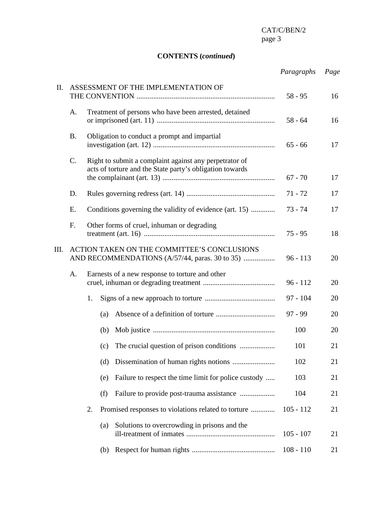# **CONTENTS (***continued***)**

|      |                 |                                                                                               |                                                                                                                    |                                                         | Paragraphs  | Page |
|------|-----------------|-----------------------------------------------------------------------------------------------|--------------------------------------------------------------------------------------------------------------------|---------------------------------------------------------|-------------|------|
| Π.   |                 | ASSESSMENT OF THE IMPLEMENTATION OF                                                           | $58 - 95$                                                                                                          | 16                                                      |             |      |
|      | A.              |                                                                                               |                                                                                                                    | Treatment of persons who have been arrested, detained   | $58 - 64$   | 16   |
|      | <b>B.</b>       |                                                                                               |                                                                                                                    | Obligation to conduct a prompt and impartial            | $65 - 66$   | 17   |
|      | $\mathcal{C}$ . |                                                                                               | Right to submit a complaint against any perpetrator of<br>acts of torture and the State party's obligation towards | $67 - 70$                                               | 17          |      |
|      | D.              |                                                                                               |                                                                                                                    |                                                         | $71 - 72$   | 17   |
|      | Ε.              |                                                                                               |                                                                                                                    | Conditions governing the validity of evidence (art. 15) | $73 - 74$   | 17   |
|      | F.              |                                                                                               |                                                                                                                    | Other forms of cruel, inhuman or degrading              | $75 - 95$   | 18   |
| III. |                 | ACTION TAKEN ON THE COMMITTEE'S CONCLUSIONS<br>AND RECOMMENDATIONS (A/57/44, paras. 30 to 35) | $96 - 113$                                                                                                         | 20                                                      |             |      |
|      | А.              |                                                                                               | Earnests of a new response to torture and other                                                                    |                                                         |             | 20   |
|      |                 | 1.                                                                                            |                                                                                                                    |                                                         | $97 - 104$  | 20   |
|      |                 |                                                                                               | (a)                                                                                                                |                                                         | $97 - 99$   | 20   |
|      |                 |                                                                                               | (b)                                                                                                                |                                                         | 100         | 20   |
|      |                 |                                                                                               | (c)                                                                                                                | The crucial question of prison conditions               | 101         | 21   |
|      |                 |                                                                                               | (d)                                                                                                                |                                                         | 102         | 21   |
|      |                 |                                                                                               | (e)                                                                                                                | Failure to respect the time limit for police custody    | 103         | 21   |
|      |                 |                                                                                               | (f)                                                                                                                | Failure to provide post-trauma assistance               | 104         | 21   |
|      |                 | 2.                                                                                            |                                                                                                                    | Promised responses to violations related to torture     | $105 - 112$ | 21   |
|      |                 |                                                                                               | (a)                                                                                                                | Solutions to overcrowding in prisons and the            | $105 - 107$ | 21   |
|      |                 |                                                                                               | (b)                                                                                                                |                                                         | $108 - 110$ | 21   |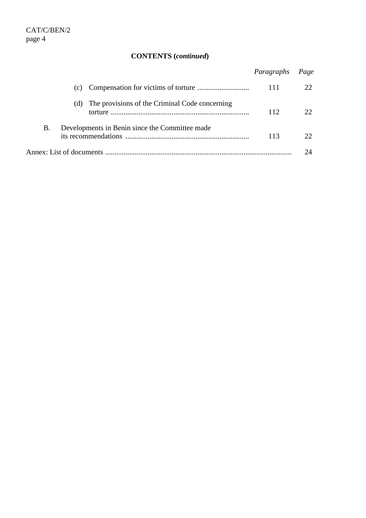# **CONTENTS (***continued***)**

|    |                                                       | Paragraphs Page |  |  |
|----|-------------------------------------------------------|-----------------|--|--|
|    | (c)                                                   | 111             |  |  |
|    | (d) The provisions of the Criminal Code concerning    | 112             |  |  |
| В. | Developments in Benin since the Committee made<br>113 |                 |  |  |
|    |                                                       |                 |  |  |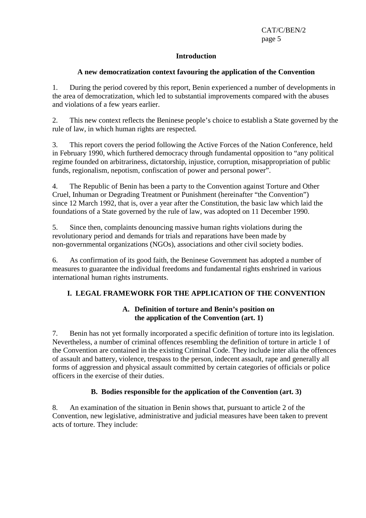#### **Introduction**

# **A new democratization context favouring the application of the Convention**

1. During the period covered by this report, Benin experienced a number of developments in the area of democratization, which led to substantial improvements compared with the abuses and violations of a few years earlier.

2. This new context reflects the Beninese people's choice to establish a State governed by the rule of law, in which human rights are respected.

3. This report covers the period following the Active Forces of the Nation Conference, held in February 1990, which furthered democracy through fundamental opposition to "any political regime founded on arbitrariness, dictatorship, injustice, corruption, misappropriation of public funds, regionalism, nepotism, confiscation of power and personal power".

4. The Republic of Benin has been a party to the Convention against Torture and Other Cruel, Inhuman or Degrading Treatment or Punishment (hereinafter "the Convention") since 12 March 1992, that is, over a year after the Constitution, the basic law which laid the foundations of a State governed by the rule of law, was adopted on 11 December 1990.

5. Since then, complaints denouncing massive human rights violations during the revolutionary period and demands for trials and reparations have been made by non-governmental organizations (NGOs), associations and other civil society bodies.

6. As confirmation of its good faith, the Beninese Government has adopted a number of measures to guarantee the individual freedoms and fundamental rights enshrined in various international human rights instruments.

# **I. LEGAL FRAMEWORK FOR THE APPLICATION OF THE CONVENTION**

# **A. Definition of torture and Benin's position on the application of the Convention (art. 1)**

7. Benin has not yet formally incorporated a specific definition of torture into its legislation. Nevertheless, a number of criminal offences resembling the definition of torture in article 1 of the Convention are contained in the existing Criminal Code. They include inter alia the offences of assault and battery, violence, trespass to the person, indecent assault, rape and generally all forms of aggression and physical assault committed by certain categories of officials or police officers in the exercise of their duties.

# **B. Bodies responsible for the application of the Convention (art. 3)**

8. An examination of the situation in Benin shows that, pursuant to article 2 of the Convention, new legislative, administrative and judicial measures have been taken to prevent acts of torture. They include: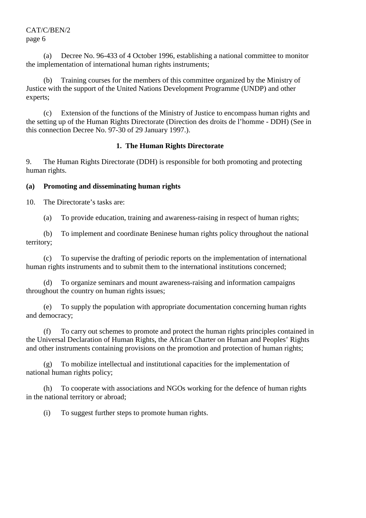(a) Decree No. 96-433 of 4 October 1996, establishing a national committee to monitor the implementation of international human rights instruments;

 (b) Training courses for the members of this committee organized by the Ministry of Justice with the support of the United Nations Development Programme (UNDP) and other experts;

 (c) Extension of the functions of the Ministry of Justice to encompass human rights and the setting up of the Human Rights Directorate (Direction des droits de l'homme - DDH) (See in this connection Decree No. 97-30 of 29 January 1997.).

#### **1. The Human Rights Directorate**

9. The Human Rights Directorate (DDH) is responsible for both promoting and protecting human rights.

# **(a) Promoting and disseminating human rights**

10. The Directorate's tasks are:

(a) To provide education, training and awareness-raising in respect of human rights;

 (b) To implement and coordinate Beninese human rights policy throughout the national territory;

 (c) To supervise the drafting of periodic reports on the implementation of international human rights instruments and to submit them to the international institutions concerned;

 (d) To organize seminars and mount awareness-raising and information campaigns throughout the country on human rights issues;

 (e) To supply the population with appropriate documentation concerning human rights and democracy;

 (f) To carry out schemes to promote and protect the human rights principles contained in the Universal Declaration of Human Rights, the African Charter on Human and Peoples' Rights and other instruments containing provisions on the promotion and protection of human rights;

 (g) To mobilize intellectual and institutional capacities for the implementation of national human rights policy;

 (h) To cooperate with associations and NGOs working for the defence of human rights in the national territory or abroad;

(i) To suggest further steps to promote human rights.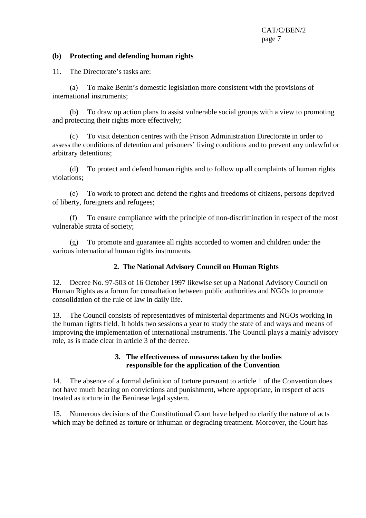#### **(b) Protecting and defending human rights**

11. The Directorate's tasks are:

 (a) To make Benin's domestic legislation more consistent with the provisions of international instruments;

 (b) To draw up action plans to assist vulnerable social groups with a view to promoting and protecting their rights more effectively;

 (c) To visit detention centres with the Prison Administration Directorate in order to assess the conditions of detention and prisoners' living conditions and to prevent any unlawful or arbitrary detentions;

 (d) To protect and defend human rights and to follow up all complaints of human rights violations;

 (e) To work to protect and defend the rights and freedoms of citizens, persons deprived of liberty, foreigners and refugees;

 (f) To ensure compliance with the principle of non-discrimination in respect of the most vulnerable strata of society;

 (g) To promote and guarantee all rights accorded to women and children under the various international human rights instruments.

#### **2. The National Advisory Council on Human Rights**

12. Decree No. 97-503 of 16 October 1997 likewise set up a National Advisory Council on Human Rights as a forum for consultation between public authorities and NGOs to promote consolidation of the rule of law in daily life.

13. The Council consists of representatives of ministerial departments and NGOs working in the human rights field. It holds two sessions a year to study the state of and ways and means of improving the implementation of international instruments. The Council plays a mainly advisory role, as is made clear in article 3 of the decree.

#### **3. The effectiveness of measures taken by the bodies responsible for the application of the Convention**

14. The absence of a formal definition of torture pursuant to article 1 of the Convention does not have much bearing on convictions and punishment, where appropriate, in respect of acts treated as torture in the Beninese legal system.

15. Numerous decisions of the Constitutional Court have helped to clarify the nature of acts which may be defined as torture or inhuman or degrading treatment. Moreover, the Court has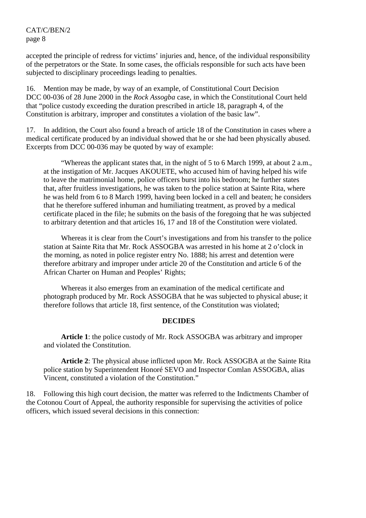accepted the principle of redress for victims' injuries and, hence, of the individual responsibility of the perpetrators or the State. In some cases, the officials responsible for such acts have been subjected to disciplinary proceedings leading to penalties.

16. Mention may be made, by way of an example, of Constitutional Court Decision DCC 00-036 of 28 June 2000 in the *Rock Assogba* case, in which the Constitutional Court held that "police custody exceeding the duration prescribed in article 18, paragraph 4, of the Constitution is arbitrary, improper and constitutes a violation of the basic law".

17. In addition, the Court also found a breach of article 18 of the Constitution in cases where a medical certificate produced by an individual showed that he or she had been physically abused. Excerpts from DCC 00-036 may be quoted by way of example:

 "Whereas the applicant states that, in the night of 5 to 6 March 1999, at about 2 a.m., at the instigation of Mr. Jacques AKOUETE, who accused him of having helped his wife to leave the matrimonial home, police officers burst into his bedroom; he further states that, after fruitless investigations, he was taken to the police station at Sainte Rita, where he was held from 6 to 8 March 1999, having been locked in a cell and beaten; he considers that he therefore suffered inhuman and humiliating treatment, as proved by a medical certificate placed in the file; he submits on the basis of the foregoing that he was subjected to arbitrary detention and that articles 16, 17 and 18 of the Constitution were violated.

 Whereas it is clear from the Court's investigations and from his transfer to the police station at Sainte Rita that Mr. Rock ASSOGBA was arrested in his home at 2 o'clock in the morning, as noted in police register entry No. 1888; his arrest and detention were therefore arbitrary and improper under article 20 of the Constitution and article 6 of the African Charter on Human and Peoples' Rights;

 Whereas it also emerges from an examination of the medical certificate and photograph produced by Mr. Rock ASSOGBA that he was subjected to physical abuse; it therefore follows that article 18, first sentence, of the Constitution was violated;

#### **DECIDES**

 **Article 1**: the police custody of Mr. Rock ASSOGBA was arbitrary and improper and violated the Constitution.

**Article 2**: The physical abuse inflicted upon Mr. Rock ASSOGBA at the Sainte Rita police station by Superintendent Honoré SEVO and Inspector Comlan ASSOGBA, alias Vincent, constituted a violation of the Constitution."

18. Following this high court decision, the matter was referred to the Indictments Chamber of the Cotonou Court of Appeal, the authority responsible for supervising the activities of police officers, which issued several decisions in this connection: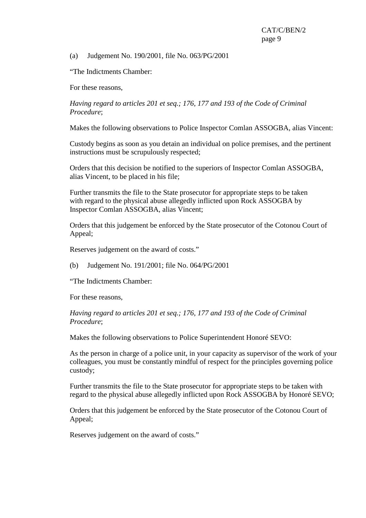(a) Judgement No. 190/2001, file No. 063/PG/2001

"The Indictments Chamber:

For these reasons,

*Having regard to articles 201 et seq.; 176, 177 and 193 of the Code of Criminal Procedure*;

Makes the following observations to Police Inspector Comlan ASSOGBA, alias Vincent:

Custody begins as soon as you detain an individual on police premises, and the pertinent instructions must be scrupulously respected;

Orders that this decision be notified to the superiors of Inspector Comlan ASSOGBA, alias Vincent, to be placed in his file;

Further transmits the file to the State prosecutor for appropriate steps to be taken with regard to the physical abuse allegedly inflicted upon Rock ASSOGBA by Inspector Comlan ASSOGBA, alias Vincent;

Orders that this judgement be enforced by the State prosecutor of the Cotonou Court of Appeal;

Reserves judgement on the award of costs."

(b) Judgement No. 191/2001; file No. 064/PG/2001

"The Indictments Chamber:

For these reasons,

*Having regard to articles 201 et seq.; 176, 177 and 193 of the Code of Criminal Procedure*;

Makes the following observations to Police Superintendent Honoré SEVO:

As the person in charge of a police unit, in your capacity as supervisor of the work of your colleagues, you must be constantly mindful of respect for the principles governing police custody;

Further transmits the file to the State prosecutor for appropriate steps to be taken with regard to the physical abuse allegedly inflicted upon Rock ASSOGBA by Honoré SEVO;

Orders that this judgement be enforced by the State prosecutor of the Cotonou Court of Appeal;

Reserves judgement on the award of costs."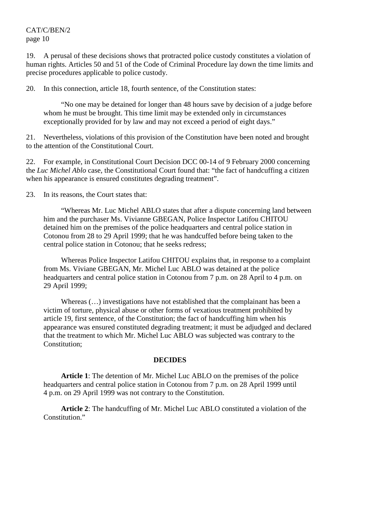19. A perusal of these decisions shows that protracted police custody constitutes a violation of human rights. Articles 50 and 51 of the Code of Criminal Procedure lay down the time limits and precise procedures applicable to police custody.

20. In this connection, article 18, fourth sentence, of the Constitution states:

 "No one may be detained for longer than 48 hours save by decision of a judge before whom he must be brought. This time limit may be extended only in circumstances exceptionally provided for by law and may not exceed a period of eight days."

21. Nevertheless, violations of this provision of the Constitution have been noted and brought to the attention of the Constitutional Court.

22. For example, in Constitutional Court Decision DCC 00-14 of 9 February 2000 concerning the *Luc Michel Ablo* case, the Constitutional Court found that: "the fact of handcuffing a citizen when his appearance is ensured constitutes degrading treatment".

23. In its reasons, the Court states that:

 "Whereas Mr. Luc Michel ABLO states that after a dispute concerning land between him and the purchaser Ms. Vivianne GBEGAN, Police Inspector Latifou CHITOU detained him on the premises of the police headquarters and central police station in Cotonou from 28 to 29 April 1999; that he was handcuffed before being taken to the central police station in Cotonou; that he seeks redress;

 Whereas Police Inspector Latifou CHITOU explains that, in response to a complaint from Ms. Viviane GBEGAN, Mr. Michel Luc ABLO was detained at the police headquarters and central police station in Cotonou from 7 p.m. on 28 April to 4 p.m. on 29 April 1999;

Whereas  $(\ldots)$  investigations have not established that the complainant has been a victim of torture, physical abuse or other forms of vexatious treatment prohibited by article 19, first sentence, of the Constitution; the fact of handcuffing him when his appearance was ensured constituted degrading treatment; it must be adjudged and declared that the treatment to which Mr. Michel Luc ABLO was subjected was contrary to the Constitution;

#### **DECIDES**

 **Article 1**: The detention of Mr. Michel Luc ABLO on the premises of the police headquarters and central police station in Cotonou from 7 p.m. on 28 April 1999 until 4 p.m. on 29 April 1999 was not contrary to the Constitution.

 **Article 2**: The handcuffing of Mr. Michel Luc ABLO constituted a violation of the Constitution."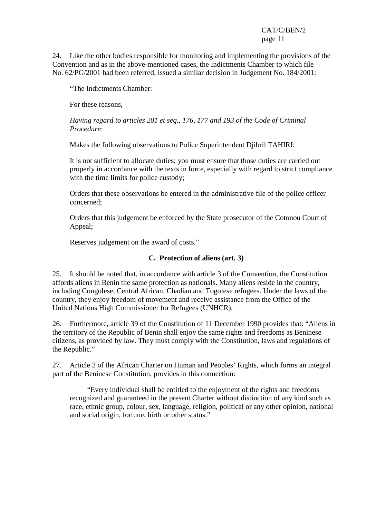24. Like the other bodies responsible for monitoring and implementing the provisions of the Convention and as in the above-mentioned cases, the Indictments Chamber to which file No. 62/PG/2001 had been referred, issued a similar decision in Judgement No. 184/2001:

"The Indictments Chamber:

For these reasons,

*Having regard to articles 201 et seq., 176, 177 and 193 of the Code of Criminal Procedure*:

Makes the following observations to Police Superintendent Djibril TAHIRI:

It is not sufficient to allocate duties; you must ensure that those duties are carried out properly in accordance with the texts in force, especially with regard to strict compliance with the time limits for police custody;

Orders that these observations be entered in the administrative file of the police officer concerned;

Orders that this judgement be enforced by the State prosecutor of the Cotonou Court of Appeal;

Reserves judgement on the award of costs."

#### **C. Protection of aliens (art. 3)**

25. It should be noted that, in accordance with article 3 of the Convention, the Constitution affords aliens in Benin the same protection as nationals. Many aliens reside in the country, including Congolese, Central African, Chadian and Togolese refugees. Under the laws of the country, they enjoy freedom of movement and receive assistance from the Office of the United Nations High Commissioner for Refugees (UNHCR).

26. Furthermore, article 39 of the Constitution of 11 December 1990 provides that: "Aliens in the territory of the Republic of Benin shall enjoy the same rights and freedoms as Beninese citizens, as provided by law. They must comply with the Constitution, laws and regulations of the Republic."

27. Article 2 of the African Charter on Human and Peoples' Rights, which forms an integral part of the Beninese Constitution, provides in this connection:

 "Every individual shall be entitled to the enjoyment of the rights and freedoms recognized and guaranteed in the present Charter without distinction of any kind such as race, ethnic group, colour, sex, language, religion, political or any other opinion, national and social origin, fortune, birth or other status."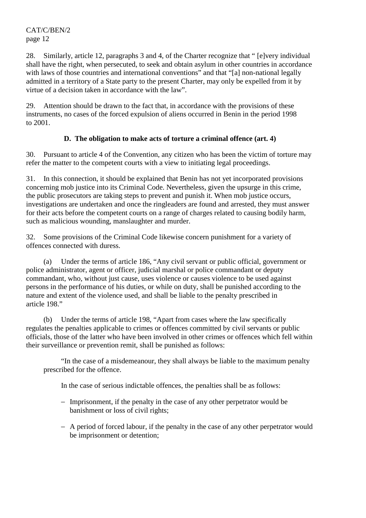28. Similarly, article 12, paragraphs 3 and 4, of the Charter recognize that " [e]very individual shall have the right, when persecuted, to seek and obtain asylum in other countries in accordance with laws of those countries and international conventions" and that "[a] non-national legally admitted in a territory of a State party to the present Charter, may only be expelled from it by virtue of a decision taken in accordance with the law".

29. Attention should be drawn to the fact that, in accordance with the provisions of these instruments, no cases of the forced expulsion of aliens occurred in Benin in the period 1998 to 2001.

# **D. The obligation to make acts of torture a criminal offence (art. 4)**

30. Pursuant to article 4 of the Convention, any citizen who has been the victim of torture may refer the matter to the competent courts with a view to initiating legal proceedings.

31. In this connection, it should be explained that Benin has not yet incorporated provisions concerning mob justice into its Criminal Code. Nevertheless, given the upsurge in this crime, the public prosecutors are taking steps to prevent and punish it. When mob justice occurs, investigations are undertaken and once the ringleaders are found and arrested, they must answer for their acts before the competent courts on a range of charges related to causing bodily harm, such as malicious wounding, manslaughter and murder.

32. Some provisions of the Criminal Code likewise concern punishment for a variety of offences connected with duress.

 (a) Under the terms of article 186, "Any civil servant or public official, government or police administrator, agent or officer, judicial marshal or police commandant or deputy commandant, who, without just cause, uses violence or causes violence to be used against persons in the performance of his duties, or while on duty, shall be punished according to the nature and extent of the violence used, and shall be liable to the penalty prescribed in article 198."

 (b) Under the terms of article 198, "Apart from cases where the law specifically regulates the penalties applicable to crimes or offences committed by civil servants or public officials, those of the latter who have been involved in other crimes or offences which fell within their surveillance or prevention remit, shall be punished as follows:

 "In the case of a misdemeanour, they shall always be liable to the maximum penalty prescribed for the offence.

In the case of serious indictable offences, the penalties shall be as follows:

- − Imprisonment, if the penalty in the case of any other perpetrator would be banishment or loss of civil rights;
- − A period of forced labour, if the penalty in the case of any other perpetrator would be imprisonment or detention;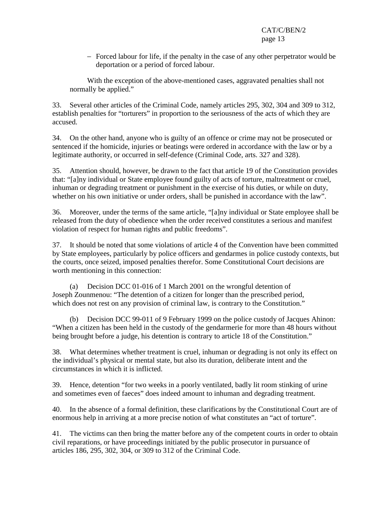− Forced labour for life, if the penalty in the case of any other perpetrator would be deportation or a period of forced labour.

 With the exception of the above-mentioned cases, aggravated penalties shall not normally be applied."

33. Several other articles of the Criminal Code, namely articles 295, 302, 304 and 309 to 312, establish penalties for "torturers" in proportion to the seriousness of the acts of which they are accused.

34. On the other hand, anyone who is guilty of an offence or crime may not be prosecuted or sentenced if the homicide, injuries or beatings were ordered in accordance with the law or by a legitimate authority, or occurred in self-defence (Criminal Code, arts. 327 and 328).

35. Attention should, however, be drawn to the fact that article 19 of the Constitution provides that: "[a]ny individual or State employee found guilty of acts of torture, maltreatment or cruel, inhuman or degrading treatment or punishment in the exercise of his duties, or while on duty, whether on his own initiative or under orders, shall be punished in accordance with the law".

36. Moreover, under the terms of the same article, "[a]ny individual or State employee shall be released from the duty of obedience when the order received constitutes a serious and manifest violation of respect for human rights and public freedoms".

37. It should be noted that some violations of article 4 of the Convention have been committed by State employees, particularly by police officers and gendarmes in police custody contexts, but the courts, once seized, imposed penalties therefor. Some Constitutional Court decisions are worth mentioning in this connection:

 (a) Decision DCC 01-016 of 1 March 2001 on the wrongful detention of Joseph Zounmenou: "The detention of a citizen for longer than the prescribed period, which does not rest on any provision of criminal law, is contrary to the Constitution."

 (b) Decision DCC 99-011 of 9 February 1999 on the police custody of Jacques Ahinon: "When a citizen has been held in the custody of the gendarmerie for more than 48 hours without being brought before a judge, his detention is contrary to article 18 of the Constitution."

38. What determines whether treatment is cruel, inhuman or degrading is not only its effect on the individual's physical or mental state, but also its duration, deliberate intent and the circumstances in which it is inflicted.

39. Hence, detention "for two weeks in a poorly ventilated, badly lit room stinking of urine and sometimes even of faeces" does indeed amount to inhuman and degrading treatment.

40. In the absence of a formal definition, these clarifications by the Constitutional Court are of enormous help in arriving at a more precise notion of what constitutes an "act of torture".

41. The victims can then bring the matter before any of the competent courts in order to obtain civil reparations, or have proceedings initiated by the public prosecutor in pursuance of articles 186, 295, 302, 304, or 309 to 312 of the Criminal Code.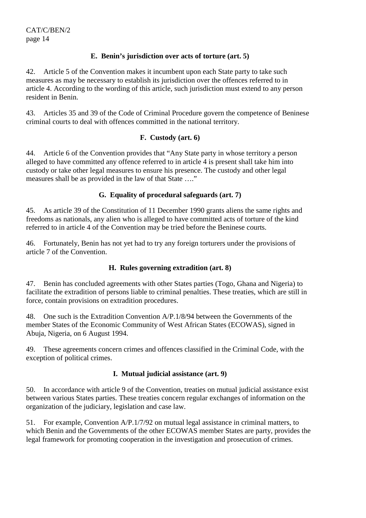#### **E. Benin's jurisdiction over acts of torture (art. 5)**

42. Article 5 of the Convention makes it incumbent upon each State party to take such measures as may be necessary to establish its jurisdiction over the offences referred to in article 4. According to the wording of this article, such jurisdiction must extend to any person resident in Benin.

43. Articles 35 and 39 of the Code of Criminal Procedure govern the competence of Beninese criminal courts to deal with offences committed in the national territory.

#### **F. Custody (art. 6)**

44. Article 6 of the Convention provides that "Any State party in whose territory a person alleged to have committed any offence referred to in article 4 is present shall take him into custody or take other legal measures to ensure his presence. The custody and other legal measures shall be as provided in the law of that State …."

# **G. Equality of procedural safeguards (art. 7)**

45. As article 39 of the Constitution of 11 December 1990 grants aliens the same rights and freedoms as nationals, any alien who is alleged to have committed acts of torture of the kind referred to in article 4 of the Convention may be tried before the Beninese courts.

46. Fortunately, Benin has not yet had to try any foreign torturers under the provisions of article 7 of the Convention.

#### **H. Rules governing extradition (art. 8)**

47. Benin has concluded agreements with other States parties (Togo, Ghana and Nigeria) to facilitate the extradition of persons liable to criminal penalties. These treaties, which are still in force, contain provisions on extradition procedures.

48. One such is the Extradition Convention A/P.1/8/94 between the Governments of the member States of the Economic Community of West African States (ECOWAS), signed in Abuja, Nigeria, on 6 August 1994.

49. These agreements concern crimes and offences classified in the Criminal Code, with the exception of political crimes.

# **I. Mutual judicial assistance (art. 9)**

50. In accordance with article 9 of the Convention, treaties on mutual judicial assistance exist between various States parties. These treaties concern regular exchanges of information on the organization of the judiciary, legislation and case law.

51. For example, Convention A/P.1/7/92 on mutual legal assistance in criminal matters, to which Benin and the Governments of the other ECOWAS member States are party, provides the legal framework for promoting cooperation in the investigation and prosecution of crimes.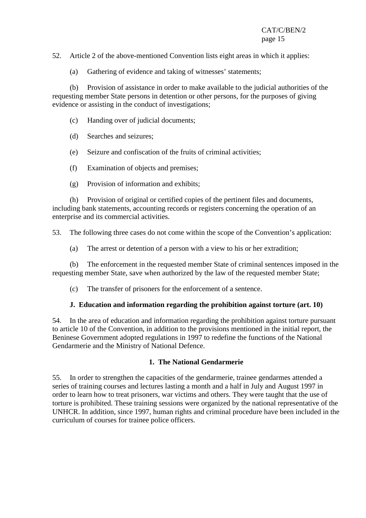52. Article 2 of the above-mentioned Convention lists eight areas in which it applies:

(a) Gathering of evidence and taking of witnesses' statements;

 (b) Provision of assistance in order to make available to the judicial authorities of the requesting member State persons in detention or other persons, for the purposes of giving evidence or assisting in the conduct of investigations;

- (c) Handing over of judicial documents;
- (d) Searches and seizures;
- (e) Seizure and confiscation of the fruits of criminal activities;
- (f) Examination of objects and premises;
- (g) Provision of information and exhibits;

 (h) Provision of original or certified copies of the pertinent files and documents, including bank statements, accounting records or registers concerning the operation of an enterprise and its commercial activities.

53. The following three cases do not come within the scope of the Convention's application:

(a) The arrest or detention of a person with a view to his or her extradition;

 (b) The enforcement in the requested member State of criminal sentences imposed in the requesting member State, save when authorized by the law of the requested member State;

(c) The transfer of prisoners for the enforcement of a sentence.

#### **J. Education and information regarding the prohibition against torture (art. 10)**

54. In the area of education and information regarding the prohibition against torture pursuant to article 10 of the Convention, in addition to the provisions mentioned in the initial report, the Beninese Government adopted regulations in 1997 to redefine the functions of the National Gendarmerie and the Ministry of National Defence.

#### **1. The National Gendarmerie**

55. In order to strengthen the capacities of the gendarmerie, trainee gendarmes attended a series of training courses and lectures lasting a month and a half in July and August 1997 in order to learn how to treat prisoners, war victims and others. They were taught that the use of torture is prohibited. These training sessions were organized by the national representative of the UNHCR. In addition, since 1997, human rights and criminal procedure have been included in the curriculum of courses for trainee police officers.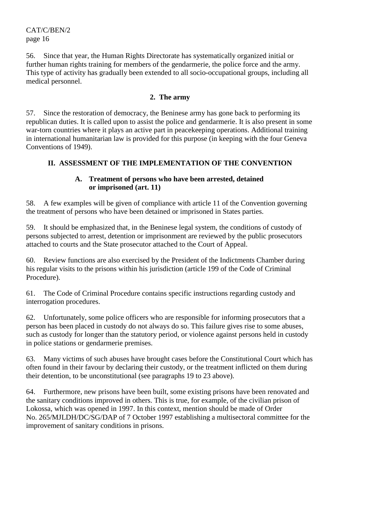56. Since that year, the Human Rights Directorate has systematically organized initial or further human rights training for members of the gendarmerie, the police force and the army. This type of activity has gradually been extended to all socio-occupational groups, including all medical personnel.

# **2. The army**

57. Since the restoration of democracy, the Beninese army has gone back to performing its republican duties. It is called upon to assist the police and gendarmerie. It is also present in some war-torn countries where it plays an active part in peacekeeping operations. Additional training in international humanitarian law is provided for this purpose (in keeping with the four Geneva Conventions of 1949).

# **II. ASSESSMENT OF THE IMPLEMENTATION OF THE CONVENTION**

#### **A. Treatment of persons who have been arrested, detained or imprisoned (art. 11)**

58. A few examples will be given of compliance with article 11 of the Convention governing the treatment of persons who have been detained or imprisoned in States parties.

59. It should be emphasized that, in the Beninese legal system, the conditions of custody of persons subjected to arrest, detention or imprisonment are reviewed by the public prosecutors attached to courts and the State prosecutor attached to the Court of Appeal.

60. Review functions are also exercised by the President of the Indictments Chamber during his regular visits to the prisons within his jurisdiction (article 199 of the Code of Criminal Procedure).

61. The Code of Criminal Procedure contains specific instructions regarding custody and interrogation procedures.

62. Unfortunately, some police officers who are responsible for informing prosecutors that a person has been placed in custody do not always do so. This failure gives rise to some abuses, such as custody for longer than the statutory period, or violence against persons held in custody in police stations or gendarmerie premises.

63. Many victims of such abuses have brought cases before the Constitutional Court which has often found in their favour by declaring their custody, or the treatment inflicted on them during their detention, to be unconstitutional (see paragraphs 19 to 23 above).

64. Furthermore, new prisons have been built, some existing prisons have been renovated and the sanitary conditions improved in others. This is true, for example, of the civilian prison of Lokossa, which was opened in 1997. In this context, mention should be made of Order No. 265/MJLDH/DC/SG/DAP of 7 October 1997 establishing a multisectoral committee for the improvement of sanitary conditions in prisons.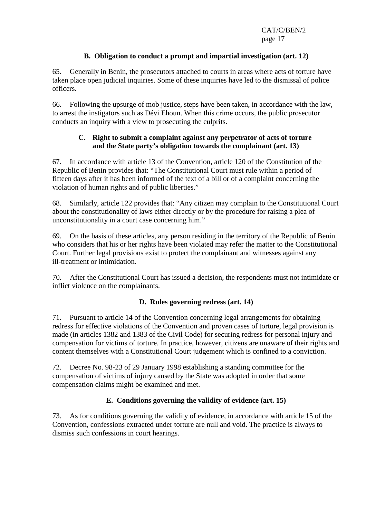#### **B. Obligation to conduct a prompt and impartial investigation (art. 12)**

65. Generally in Benin, the prosecutors attached to courts in areas where acts of torture have taken place open judicial inquiries. Some of these inquiries have led to the dismissal of police officers.

66. Following the upsurge of mob justice, steps have been taken, in accordance with the law, to arrest the instigators such as Dévi Ehoun. When this crime occurs, the public prosecutor conducts an inquiry with a view to prosecuting the culprits.

#### **C. Right to submit a complaint against any perpetrator of acts of torture and the State party's obligation towards the complainant (art. 13)**

67. In accordance with article 13 of the Convention, article 120 of the Constitution of the Republic of Benin provides that: "The Constitutional Court must rule within a period of fifteen days after it has been informed of the text of a bill or of a complaint concerning the violation of human rights and of public liberties."

68. Similarly, article 122 provides that: "Any citizen may complain to the Constitutional Court about the constitutionality of laws either directly or by the procedure for raising a plea of unconstitutionality in a court case concerning him."

69. On the basis of these articles, any person residing in the territory of the Republic of Benin who considers that his or her rights have been violated may refer the matter to the Constitutional Court. Further legal provisions exist to protect the complainant and witnesses against any ill-treatment or intimidation.

70. After the Constitutional Court has issued a decision, the respondents must not intimidate or inflict violence on the complainants.

#### **D. Rules governing redress (art. 14)**

71. Pursuant to article 14 of the Convention concerning legal arrangements for obtaining redress for effective violations of the Convention and proven cases of torture, legal provision is made (in articles 1382 and 1383 of the Civil Code) for securing redress for personal injury and compensation for victims of torture. In practice, however, citizens are unaware of their rights and content themselves with a Constitutional Court judgement which is confined to a conviction.

72. Decree No. 98-23 of 29 January 1998 establishing a standing committee for the compensation of victims of injury caused by the State was adopted in order that some compensation claims might be examined and met.

#### **E. Conditions governing the validity of evidence (art. 15)**

73. As for conditions governing the validity of evidence, in accordance with article 15 of the Convention, confessions extracted under torture are null and void. The practice is always to dismiss such confessions in court hearings.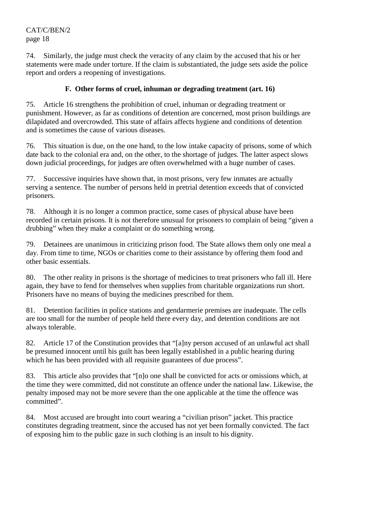74. Similarly, the judge must check the veracity of any claim by the accused that his or her statements were made under torture. If the claim is substantiated, the judge sets aside the police report and orders a reopening of investigations.

#### **F. Other forms of cruel, inhuman or degrading treatment (art. 16)**

75. Article 16 strengthens the prohibition of cruel, inhuman or degrading treatment or punishment. However, as far as conditions of detention are concerned, most prison buildings are dilapidated and overcrowded. This state of affairs affects hygiene and conditions of detention and is sometimes the cause of various diseases.

76. This situation is due, on the one hand, to the low intake capacity of prisons, some of which date back to the colonial era and, on the other, to the shortage of judges. The latter aspect slows down judicial proceedings, for judges are often overwhelmed with a huge number of cases.

77. Successive inquiries have shown that, in most prisons, very few inmates are actually serving a sentence. The number of persons held in pretrial detention exceeds that of convicted prisoners.

78. Although it is no longer a common practice, some cases of physical abuse have been recorded in certain prisons. It is not therefore unusual for prisoners to complain of being "given a drubbing" when they make a complaint or do something wrong.

79. Detainees are unanimous in criticizing prison food. The State allows them only one meal a day. From time to time, NGOs or charities come to their assistance by offering them food and other basic essentials.

80. The other reality in prisons is the shortage of medicines to treat prisoners who fall ill. Here again, they have to fend for themselves when supplies from charitable organizations run short. Prisoners have no means of buying the medicines prescribed for them.

81. Detention facilities in police stations and gendarmerie premises are inadequate. The cells are too small for the number of people held there every day, and detention conditions are not always tolerable.

82. Article 17 of the Constitution provides that "[a]ny person accused of an unlawful act shall be presumed innocent until his guilt has been legally established in a public hearing during which he has been provided with all requisite guarantees of due process".

83. This article also provides that "[n]o one shall be convicted for acts or omissions which, at the time they were committed, did not constitute an offence under the national law. Likewise, the penalty imposed may not be more severe than the one applicable at the time the offence was committed".

84. Most accused are brought into court wearing a "civilian prison" jacket. This practice constitutes degrading treatment, since the accused has not yet been formally convicted. The fact of exposing him to the public gaze in such clothing is an insult to his dignity.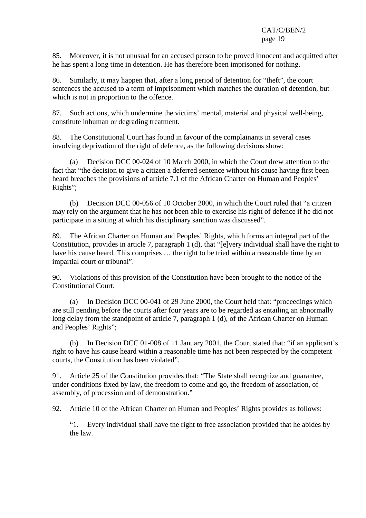85. Moreover, it is not unusual for an accused person to be proved innocent and acquitted after he has spent a long time in detention. He has therefore been imprisoned for nothing.

86. Similarly, it may happen that, after a long period of detention for "theft", the court sentences the accused to a term of imprisonment which matches the duration of detention, but which is not in proportion to the offence.

87. Such actions, which undermine the victims' mental, material and physical well-being, constitute inhuman or degrading treatment.

88. The Constitutional Court has found in favour of the complainants in several cases involving deprivation of the right of defence, as the following decisions show:

 (a) Decision DCC 00-024 of 10 March 2000, in which the Court drew attention to the fact that "the decision to give a citizen a deferred sentence without his cause having first been heard breaches the provisions of article 7.1 of the African Charter on Human and Peoples' Rights";

 (b) Decision DCC 00-056 of 10 October 2000, in which the Court ruled that "a citizen may rely on the argument that he has not been able to exercise his right of defence if he did not participate in a sitting at which his disciplinary sanction was discussed".

89. The African Charter on Human and Peoples' Rights, which forms an integral part of the Constitution, provides in article 7, paragraph 1 (d), that "[e]very individual shall have the right to have his cause heard. This comprises ... the right to be tried within a reasonable time by an impartial court or tribunal".

90. Violations of this provision of the Constitution have been brought to the notice of the Constitutional Court.

 (a) In Decision DCC 00-041 of 29 June 2000, the Court held that: "proceedings which are still pending before the courts after four years are to be regarded as entailing an abnormally long delay from the standpoint of article 7, paragraph 1 (d), of the African Charter on Human and Peoples' Rights";

 (b) In Decision DCC 01-008 of 11 January 2001, the Court stated that: "if an applicant's right to have his cause heard within a reasonable time has not been respected by the competent courts, the Constitution has been violated".

91. Article 25 of the Constitution provides that: "The State shall recognize and guarantee, under conditions fixed by law, the freedom to come and go, the freedom of association, of assembly, of procession and of demonstration."

92. Article 10 of the African Charter on Human and Peoples' Rights provides as follows:

"1. Every individual shall have the right to free association provided that he abides by the law.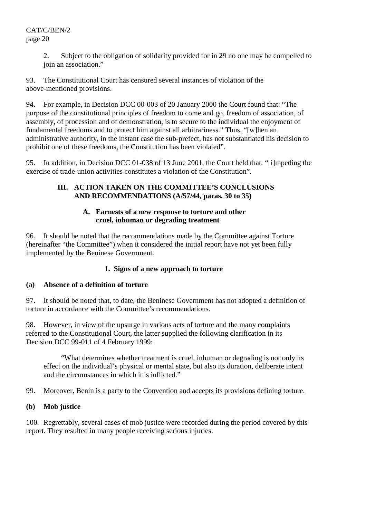2. Subject to the obligation of solidarity provided for in 29 no one may be compelled to join an association."

93. The Constitutional Court has censured several instances of violation of the above-mentioned provisions.

94. For example, in Decision DCC 00-003 of 20 January 2000 the Court found that: "The purpose of the constitutional principles of freedom to come and go, freedom of association, of assembly, of procession and of demonstration, is to secure to the individual the enjoyment of fundamental freedoms and to protect him against all arbitrariness." Thus, "[w]hen an administrative authority, in the instant case the sub-prefect, has not substantiated his decision to prohibit one of these freedoms, the Constitution has been violated".

95. In addition, in Decision DCC 01-038 of 13 June 2001, the Court held that: "[i]mpeding the exercise of trade-union activities constitutes a violation of the Constitution".

#### **III. ACTION TAKEN ON THE COMMITTEE'S CONCLUSIONS AND RECOMMENDATIONS (A/57/44, paras. 30 to 35)**

#### **A. Earnests of a new response to torture and other cruel, inhuman or degrading treatment**

96. It should be noted that the recommendations made by the Committee against Torture (hereinafter "the Committee") when it considered the initial report have not yet been fully implemented by the Beninese Government.

# **1. Signs of a new approach to torture**

# **(a) Absence of a definition of torture**

97. It should be noted that, to date, the Beninese Government has not adopted a definition of torture in accordance with the Committee's recommendations.

98. However, in view of the upsurge in various acts of torture and the many complaints referred to the Constitutional Court, the latter supplied the following clarification in its Decision DCC 99-011 of 4 February 1999:

 "What determines whether treatment is cruel, inhuman or degrading is not only its effect on the individual's physical or mental state, but also its duration, deliberate intent and the circumstances in which it is inflicted."

99. Moreover, Benin is a party to the Convention and accepts its provisions defining torture.

# **(b) Mob justice**

100. Regrettably, several cases of mob justice were recorded during the period covered by this report. They resulted in many people receiving serious injuries.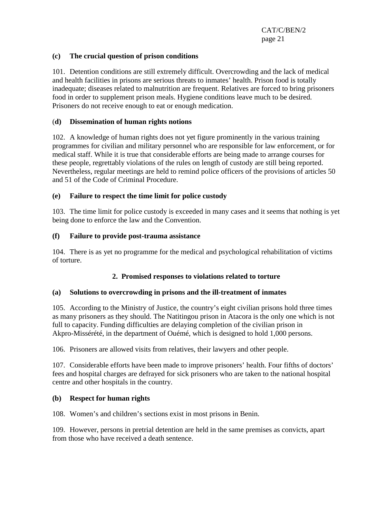#### **(c) The crucial question of prison conditions**

101. Detention conditions are still extremely difficult. Overcrowding and the lack of medical and health facilities in prisons are serious threats to inmates' health. Prison food is totally inadequate; diseases related to malnutrition are frequent. Relatives are forced to bring prisoners food in order to supplement prison meals. Hygiene conditions leave much to be desired. Prisoners do not receive enough to eat or enough medication.

#### (**d) Dissemination of human rights notions**

102. A knowledge of human rights does not yet figure prominently in the various training programmes for civilian and military personnel who are responsible for law enforcement, or for medical staff. While it is true that considerable efforts are being made to arrange courses for these people, regrettably violations of the rules on length of custody are still being reported. Nevertheless, regular meetings are held to remind police officers of the provisions of articles 50 and 51 of the Code of Criminal Procedure.

#### **(e) Failure to respect the time limit for police custody**

103. The time limit for police custody is exceeded in many cases and it seems that nothing is yet being done to enforce the law and the Convention.

#### **(f) Failure to provide post-trauma assistance**

104. There is as yet no programme for the medical and psychological rehabilitation of victims of torture.

#### **2. Promised responses to violations related to torture**

#### **(a) Solutions to overcrowding in prisons and the ill-treatment of inmates**

105. According to the Ministry of Justice, the country's eight civilian prisons hold three times as many prisoners as they should. The Natitingou prison in Atacora is the only one which is not full to capacity. Funding difficulties are delaying completion of the civilian prison in Akpro-Missérété, in the department of Ouémé, which is designed to hold 1,000 persons.

106. Prisoners are allowed visits from relatives, their lawyers and other people.

107. Considerable efforts have been made to improve prisoners' health. Four fifths of doctors' fees and hospital charges are defrayed for sick prisoners who are taken to the national hospital centre and other hospitals in the country.

#### **(b) Respect for human rights**

108. Women's and children's sections exist in most prisons in Benin.

109. However, persons in pretrial detention are held in the same premises as convicts, apart from those who have received a death sentence.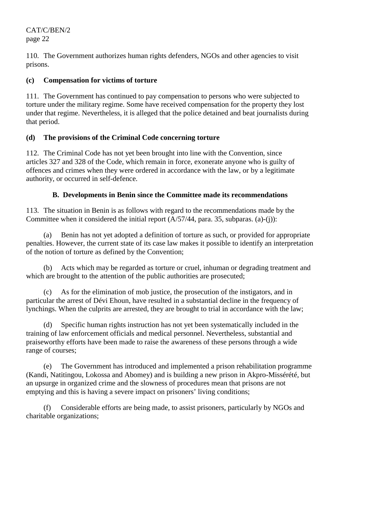110. The Government authorizes human rights defenders, NGOs and other agencies to visit prisons.

#### **(c) Compensation for victims of torture**

111. The Government has continued to pay compensation to persons who were subjected to torture under the military regime. Some have received compensation for the property they lost under that regime. Nevertheless, it is alleged that the police detained and beat journalists during that period.

# **(d) The provisions of the Criminal Code concerning torture**

112. The Criminal Code has not yet been brought into line with the Convention, since articles 327 and 328 of the Code, which remain in force, exonerate anyone who is guilty of offences and crimes when they were ordered in accordance with the law, or by a legitimate authority, or occurred in self-defence.

# **B. Developments in Benin since the Committee made its recommendations**

113. The situation in Benin is as follows with regard to the recommendations made by the Committee when it considered the initial report (A/57/44, para. 35, subparas. (a)-(j)):

 (a) Benin has not yet adopted a definition of torture as such, or provided for appropriate penalties. However, the current state of its case law makes it possible to identify an interpretation of the notion of torture as defined by the Convention;

 (b) Acts which may be regarded as torture or cruel, inhuman or degrading treatment and which are brought to the attention of the public authorities are prosecuted;

 (c) As for the elimination of mob justice, the prosecution of the instigators, and in particular the arrest of Dévi Ehoun, have resulted in a substantial decline in the frequency of lynchings. When the culprits are arrested, they are brought to trial in accordance with the law;

 (d) Specific human rights instruction has not yet been systematically included in the training of law enforcement officials and medical personnel. Nevertheless, substantial and praiseworthy efforts have been made to raise the awareness of these persons through a wide range of courses;

 (e) The Government has introduced and implemented a prison rehabilitation programme (Kandi, Natitingou, Lokossa and Abomey) and is building a new prison in Akpro-Missérété, but an upsurge in organized crime and the slowness of procedures mean that prisons are not emptying and this is having a severe impact on prisoners' living conditions;

 (f) Considerable efforts are being made, to assist prisoners, particularly by NGOs and charitable organizations;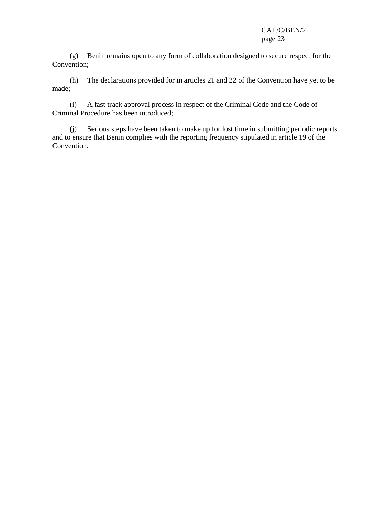(g) Benin remains open to any form of collaboration designed to secure respect for the Convention;

 (h) The declarations provided for in articles 21 and 22 of the Convention have yet to be made;

 (i) A fast-track approval process in respect of the Criminal Code and the Code of Criminal Procedure has been introduced;

 (j) Serious steps have been taken to make up for lost time in submitting periodic reports and to ensure that Benin complies with the reporting frequency stipulated in article 19 of the Convention.